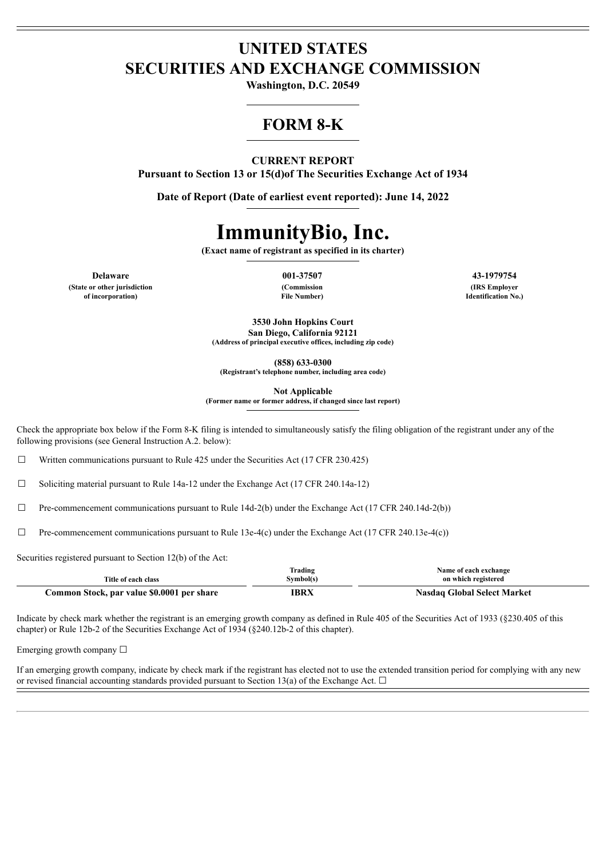# **UNITED STATES SECURITIES AND EXCHANGE COMMISSION**

**Washington, D.C. 20549**

# **FORM 8-K**

## **CURRENT REPORT**

**Pursuant to Section 13 or 15(d)of The Securities Exchange Act of 1934**

**Date of Report (Date of earliest event reported): June 14, 2022**

# **ImmunityBio, Inc.**

**(Exact name of registrant as specified in its charter)**

**(State or other jurisdiction**

**of incorporation)**

**(Commission File Number)**

**Delaware 001-37507 43-1979754 (IRS Employer Identification No.)**

> **3530 John Hopkins Court San Diego, California 92121 (Address of principal executive offices, including zip code)**

> > **(858) 633-0300**

**(Registrant's telephone number, including area code)**

**Not Applicable**

**(Former name or former address, if changed since last report)**

Check the appropriate box below if the Form 8-K filing is intended to simultaneously satisfy the filing obligation of the registrant under any of the following provisions (see General Instruction A.2. below):

 $\Box$  Written communications pursuant to Rule 425 under the Securities Act (17 CFR 230.425)

☐ Soliciting material pursuant to Rule 14a-12 under the Exchange Act (17 CFR 240.14a-12)

 $\Box$  Pre-commencement communications pursuant to Rule 14d-2(b) under the Exchange Act (17 CFR 240.14d-2(b))

 $\Box$  Pre-commencement communications pursuant to Rule 13e-4(c) under the Exchange Act (17 CFR 240.13e-4(c))

Securities registered pursuant to Section 12(b) of the Act:

|                                            | Trading   | Name of each exchange              |
|--------------------------------------------|-----------|------------------------------------|
| Title of each class                        | Symbol(s) | on which registered                |
| Common Stock, par value \$0.0001 per share | IBRX      | <b>Nasdaq Global Select Market</b> |

Indicate by check mark whether the registrant is an emerging growth company as defined in Rule 405 of the Securities Act of 1933 (§230.405 of this chapter) or Rule 12b-2 of the Securities Exchange Act of 1934 (§240.12b-2 of this chapter).

Emerging growth company  $\Box$ 

If an emerging growth company, indicate by check mark if the registrant has elected not to use the extended transition period for complying with any new or revised financial accounting standards provided pursuant to Section 13(a) of the Exchange Act.  $\Box$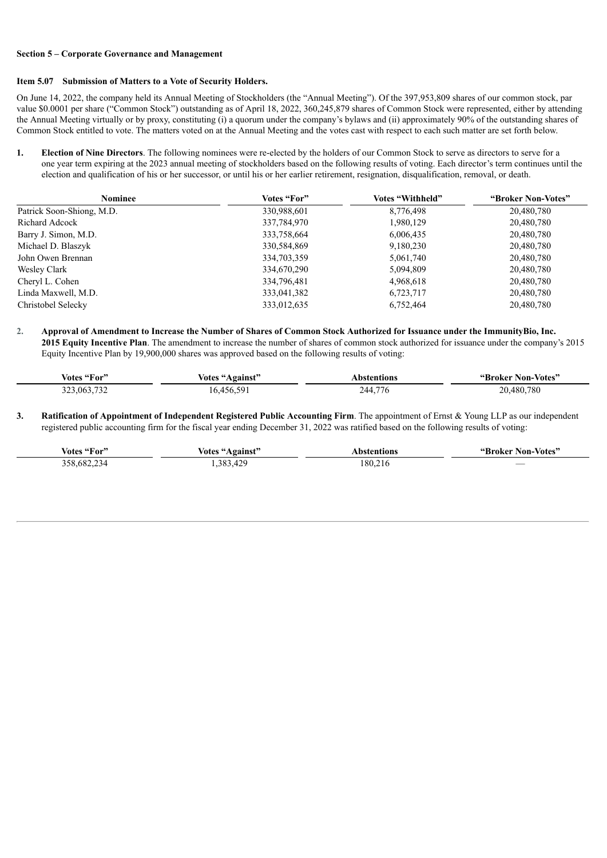#### **Section 5 – Corporate Governance and Management**

#### **Item 5.07 Submission of Matters to a Vote of Security Holders.**

On June 14, 2022, the company held its Annual Meeting of Stockholders (the "Annual Meeting"). Of the 397,953,809 shares of our common stock, par value \$0.0001 per share ("Common Stock") outstanding as of April 18, 2022, 360,245,879 shares of Common Stock were represented, either by attending the Annual Meeting virtually or by proxy, constituting (i) a quorum under the company's bylaws and (ii) approximately 90% of the outstanding shares of Common Stock entitled to vote. The matters voted on at the Annual Meeting and the votes cast with respect to each such matter are set forth below.

**1. Election of Nine Directors**. The following nominees were re-elected by the holders of our Common Stock to serve as directors to serve for a one year term expiring at the 2023 annual meeting of stockholders based on the following results of voting. Each director's term continues until the election and qualification of his or her successor, or until his or her earlier retirement, resignation, disqualification, removal, or death.

| <b>Nominee</b>            | Votes "For" | Votes "Withheld" | "Broker Non-Votes" |
|---------------------------|-------------|------------------|--------------------|
| Patrick Soon-Shiong, M.D. | 330,988,601 | 8,776,498        | 20,480,780         |
| Richard Adcock            | 337,784,970 | 1,980,129        | 20,480,780         |
| Barry J. Simon, M.D.      | 333,758,664 | 6,006,435        | 20,480,780         |
| Michael D. Blaszyk        | 330,584,869 | 9,180,230        | 20,480,780         |
| John Owen Brennan         | 334,703,359 | 5,061,740        | 20,480,780         |
| Wesley Clark              | 334,670,290 | 5,094,809        | 20,480,780         |
| Cheryl L. Cohen           | 334,796,481 | 4,968,618        | 20,480,780         |
| Linda Maxwell, M.D.       | 333,041,382 | 6,723,717        | 20,480,780         |
| Christobel Selecky        | 333,012,635 | 6,752,464        | 20,480,780         |

2. Approval of Amendment to Increase the Number of Shares of Common Stock Authorized for Issuance under the ImmunityBio, Inc. **2015 Equity Incentive Plan**. The amendment to increase the number of shares of common stock authorized for issuance under the company's 2015 Equity Incentive Plan by 19,900,000 shares was approved based on the following results of voting:

| Votes "For" | <b>Votes "Against"</b> | Abstentions | "Broker Non-Votes" |
|-------------|------------------------|-------------|--------------------|
| 323,063,732 | 16,456,591             | 244,776     | 20,480,780         |

**3. Ratification of Appointment of Independent Registered Public Accounting Firm**. The appointment of Ernst & Young LLP as our independent registered public accounting firm for the fiscal year ending December 31, 2022 was ratified based on the following results of voting:

| Votes "For" | Votes "Against" | Abstentions | "Broker Non-Votes"       |
|-------------|-----------------|-------------|--------------------------|
| 358,682,23  | ,383,429        | 180,216     | $\overline{\phantom{a}}$ |
| ′ ⊀⊿        |                 |             |                          |